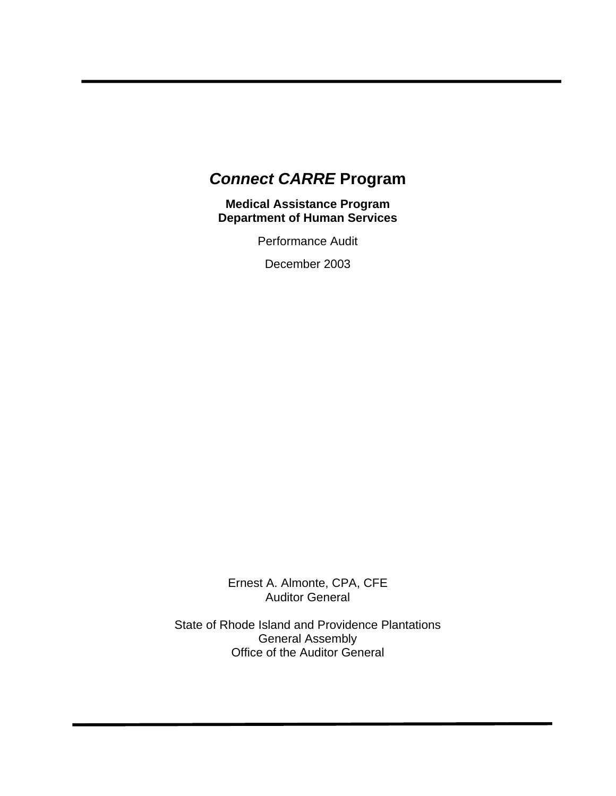# *Connect CARRE* **Program**

**Medical Assistance Program Department of Human Services** 

Performance Audit

December 2003

Ernest A. Almonte, CPA, CFE Auditor General

State of Rhode Island and Providence Plantations General Assembly Office of the Auditor General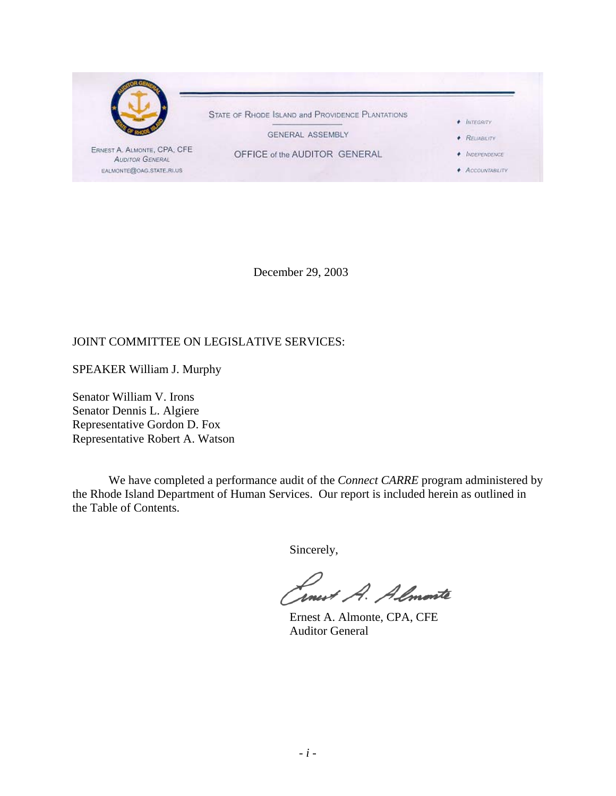

December 29, 2003

#### JOINT COMMITTEE ON LEGISLATIVE SERVICES:

SPEAKER William J. Murphy

Senator William V. Irons Senator Dennis L. Algiere Representative Gordon D. Fox Representative Robert A. Watson

We have completed a performance audit of the *Connect CARRE* program administered by the Rhode Island Department of Human Services. Our report is included herein as outlined in the Table of Contents.

Sincerely,

rnevt A. Almonte

 Ernest A. Almonte, CPA, CFE Auditor General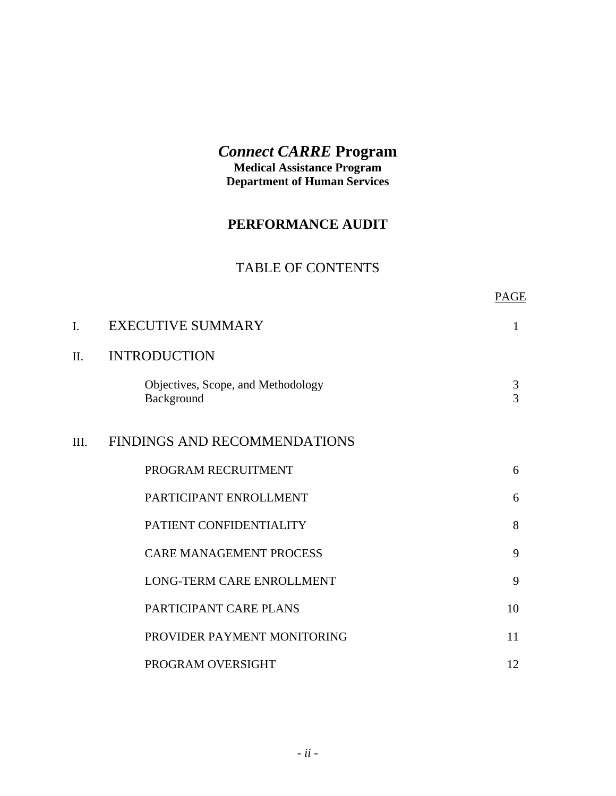# *Connect CARRE* **Program**

**Medical Assistance Program Department of Human Services** 

# **PERFORMANCE AUDIT**

# TABLE OF CONTENTS

| PAGE |
|------|
|      |

| I.   | <b>EXECUTIVE SUMMARY</b>                         | $\mathbf{1}$ |
|------|--------------------------------------------------|--------------|
| II.  | <b>INTRODUCTION</b>                              |              |
|      | Objectives, Scope, and Methodology<br>Background | 3<br>3       |
| III. | FINDINGS AND RECOMMENDATIONS                     |              |
|      | PROGRAM RECRUITMENT                              | 6            |
|      | PARTICIPANT ENROLLMENT                           | 6            |
|      | PATIENT CONFIDENTIALITY                          | 8            |
|      | <b>CARE MANAGEMENT PROCESS</b>                   | 9            |
|      | LONG-TERM CARE ENROLLMENT                        | 9            |
|      | PARTICIPANT CARE PLANS                           | 10           |
|      | PROVIDER PAYMENT MONITORING                      | 11           |
|      | PROGRAM OVERSIGHT                                | 12           |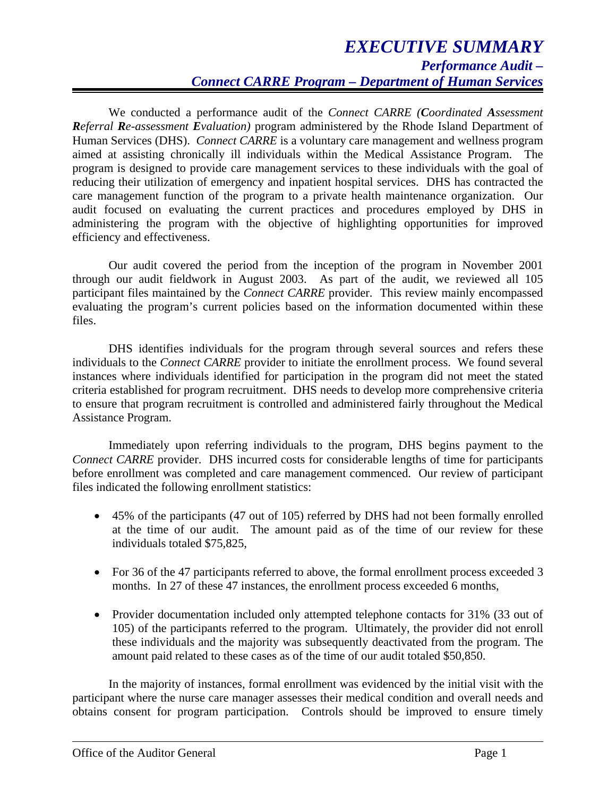We conducted a performance audit of the *Connect CARRE (Coordinated Assessment Referral Re-assessment Evaluation)* program administered by the Rhode Island Department of Human Services (DHS). *Connect CARRE* is a voluntary care management and wellness program aimed at assisting chronically ill individuals within the Medical Assistance Program. The program is designed to provide care management services to these individuals with the goal of reducing their utilization of emergency and inpatient hospital services. DHS has contracted the care management function of the program to a private health maintenance organization. Our audit focused on evaluating the current practices and procedures employed by DHS in administering the program with the objective of highlighting opportunities for improved efficiency and effectiveness.

Our audit covered the period from the inception of the program in November 2001 through our audit fieldwork in August 2003. As part of the audit, we reviewed all 105 participant files maintained by the *Connect CARRE* provider. This review mainly encompassed evaluating the program's current policies based on the information documented within these files.

DHS identifies individuals for the program through several sources and refers these individuals to the *Connect CARRE* provider to initiate the enrollment process. We found several instances where individuals identified for participation in the program did not meet the stated criteria established for program recruitment. DHS needs to develop more comprehensive criteria to ensure that program recruitment is controlled and administered fairly throughout the Medical Assistance Program.

Immediately upon referring individuals to the program, DHS begins payment to the *Connect CARRE* provider. DHS incurred costs for considerable lengths of time for participants before enrollment was completed and care management commenced. Our review of participant files indicated the following enrollment statistics:

- 45% of the participants (47 out of 105) referred by DHS had not been formally enrolled at the time of our audit. The amount paid as of the time of our review for these individuals totaled \$75,825,
- For 36 of the 47 participants referred to above, the formal enrollment process exceeded 3 months. In 27 of these 47 instances, the enrollment process exceeded 6 months,
- Provider documentation included only attempted telephone contacts for 31% (33 out of 105) of the participants referred to the program. Ultimately, the provider did not enroll these individuals and the majority was subsequently deactivated from the program. The amount paid related to these cases as of the time of our audit totaled \$50,850.

In the majority of instances, formal enrollment was evidenced by the initial visit with the participant where the nurse care manager assesses their medical condition and overall needs and obtains consent for program participation. Controls should be improved to ensure timely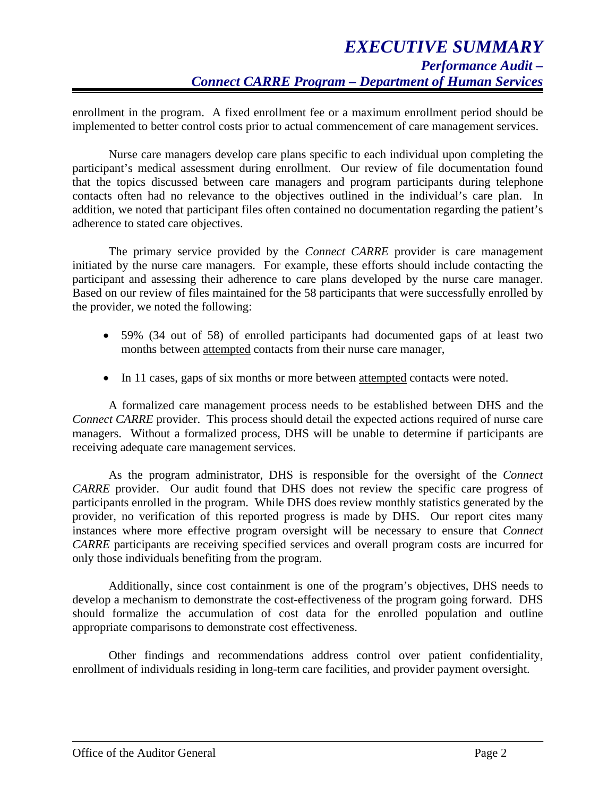enrollment in the program. A fixed enrollment fee or a maximum enrollment period should be implemented to better control costs prior to actual commencement of care management services.

Nurse care managers develop care plans specific to each individual upon completing the participant's medical assessment during enrollment. Our review of file documentation found that the topics discussed between care managers and program participants during telephone contacts often had no relevance to the objectives outlined in the individual's care plan. In addition, we noted that participant files often contained no documentation regarding the patient's adherence to stated care objectives.

The primary service provided by the *Connect CARRE* provider is care management initiated by the nurse care managers. For example, these efforts should include contacting the participant and assessing their adherence to care plans developed by the nurse care manager. Based on our review of files maintained for the 58 participants that were successfully enrolled by the provider, we noted the following:

- 59% (34 out of 58) of enrolled participants had documented gaps of at least two months between attempted contacts from their nurse care manager,
- In 11 cases, gaps of six months or more between attempted contacts were noted.

A formalized care management process needs to be established between DHS and the *Connect CARRE* provider. This process should detail the expected actions required of nurse care managers. Without a formalized process, DHS will be unable to determine if participants are receiving adequate care management services.

As the program administrator, DHS is responsible for the oversight of the *Connect CARRE* provider. Our audit found that DHS does not review the specific care progress of participants enrolled in the program. While DHS does review monthly statistics generated by the provider, no verification of this reported progress is made by DHS. Our report cites many instances where more effective program oversight will be necessary to ensure that *Connect CARRE* participants are receiving specified services and overall program costs are incurred for only those individuals benefiting from the program.

Additionally, since cost containment is one of the program's objectives, DHS needs to develop a mechanism to demonstrate the cost-effectiveness of the program going forward. DHS should formalize the accumulation of cost data for the enrolled population and outline appropriate comparisons to demonstrate cost effectiveness.

Other findings and recommendations address control over patient confidentiality, enrollment of individuals residing in long-term care facilities, and provider payment oversight.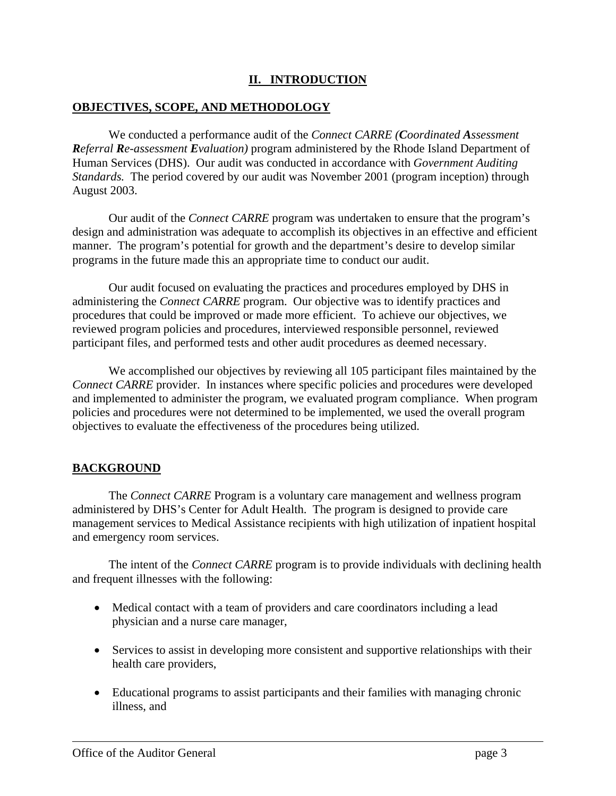## **II. INTRODUCTION**

#### **OBJECTIVES, SCOPE, AND METHODOLOGY**

We conducted a performance audit of the *Connect CARRE (Coordinated Assessment Referral Re-assessment Evaluation)* program administered by the Rhode Island Department of Human Services (DHS). Our audit was conducted in accordance with *Government Auditing Standards.* The period covered by our audit was November 2001 (program inception) through August 2003.

Our audit of the *Connect CARRE* program was undertaken to ensure that the program's design and administration was adequate to accomplish its objectives in an effective and efficient manner. The program's potential for growth and the department's desire to develop similar programs in the future made this an appropriate time to conduct our audit.

Our audit focused on evaluating the practices and procedures employed by DHS in administering the *Connect CARRE* program. Our objective was to identify practices and procedures that could be improved or made more efficient. To achieve our objectives, we reviewed program policies and procedures, interviewed responsible personnel, reviewed participant files, and performed tests and other audit procedures as deemed necessary.

We accomplished our objectives by reviewing all 105 participant files maintained by the *Connect CARRE* provider. In instances where specific policies and procedures were developed and implemented to administer the program, we evaluated program compliance. When program policies and procedures were not determined to be implemented, we used the overall program objectives to evaluate the effectiveness of the procedures being utilized.

## **BACKGROUND**

 The *Connect CARRE* Program is a voluntary care management and wellness program administered by DHS's Center for Adult Health. The program is designed to provide care management services to Medical Assistance recipients with high utilization of inpatient hospital and emergency room services.

The intent of the *Connect CARRE* program is to provide individuals with declining health and frequent illnesses with the following:

- Medical contact with a team of providers and care coordinators including a lead physician and a nurse care manager,
- Services to assist in developing more consistent and supportive relationships with their health care providers,
- Educational programs to assist participants and their families with managing chronic illness, and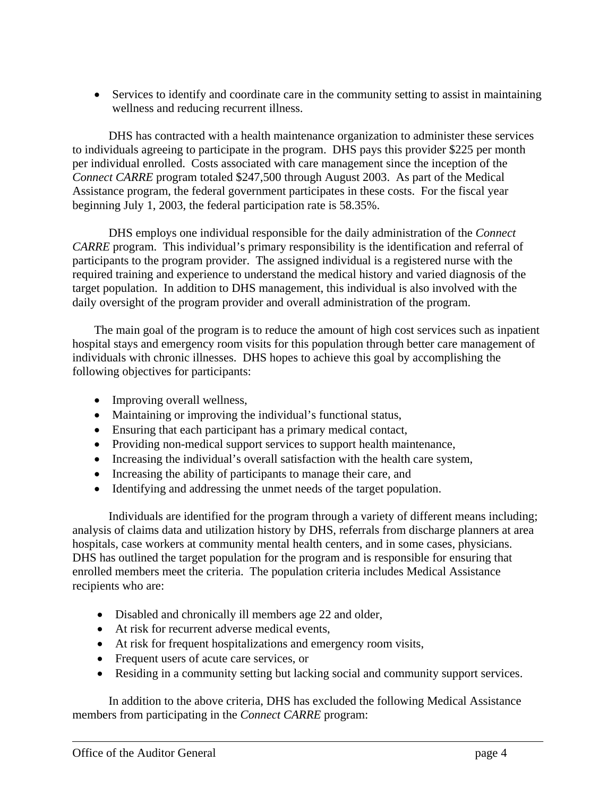• Services to identify and coordinate care in the community setting to assist in maintaining wellness and reducing recurrent illness.

DHS has contracted with a health maintenance organization to administer these services to individuals agreeing to participate in the program. DHS pays this provider \$225 per month per individual enrolled. Costs associated with care management since the inception of the *Connect CARRE* program totaled \$247,500 through August 2003. As part of the Medical Assistance program, the federal government participates in these costs. For the fiscal year beginning July 1, 2003, the federal participation rate is 58.35%.

DHS employs one individual responsible for the daily administration of the *Connect CARRE* program. This individual's primary responsibility is the identification and referral of participants to the program provider. The assigned individual is a registered nurse with the required training and experience to understand the medical history and varied diagnosis of the target population. In addition to DHS management, this individual is also involved with the daily oversight of the program provider and overall administration of the program.

The main goal of the program is to reduce the amount of high cost services such as inpatient hospital stays and emergency room visits for this population through better care management of individuals with chronic illnesses. DHS hopes to achieve this goal by accomplishing the following objectives for participants:

- Improving overall wellness,
- Maintaining or improving the individual's functional status,
- Ensuring that each participant has a primary medical contact,
- Providing non-medical support services to support health maintenance,
- Increasing the individual's overall satisfaction with the health care system,
- Increasing the ability of participants to manage their care, and
- Identifying and addressing the unmet needs of the target population.

Individuals are identified for the program through a variety of different means including; analysis of claims data and utilization history by DHS, referrals from discharge planners at area hospitals, case workers at community mental health centers, and in some cases, physicians. DHS has outlined the target population for the program and is responsible for ensuring that enrolled members meet the criteria. The population criteria includes Medical Assistance recipients who are:

- Disabled and chronically ill members age 22 and older,
- At risk for recurrent adverse medical events,
- At risk for frequent hospitalizations and emergency room visits,
- Frequent users of acute care services, or
- Residing in a community setting but lacking social and community support services.

In addition to the above criteria, DHS has excluded the following Medical Assistance members from participating in the *Connect CARRE* program: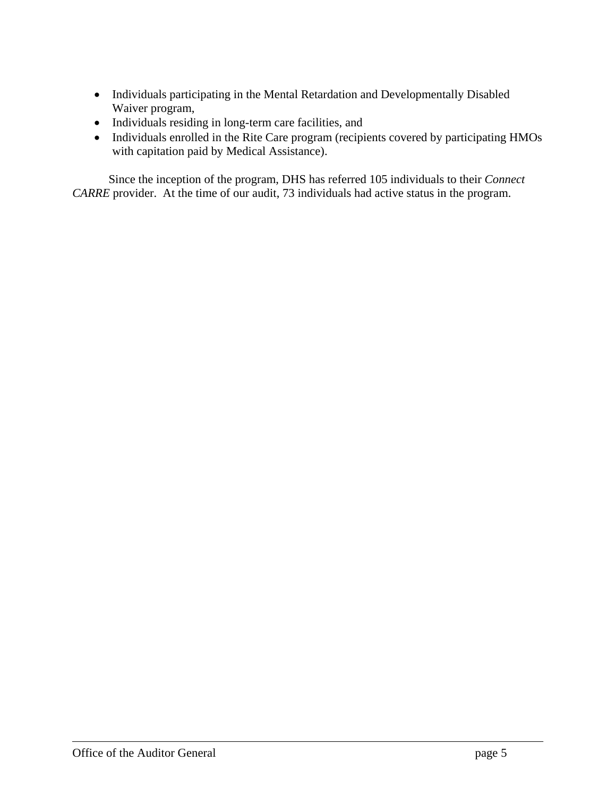- Individuals participating in the Mental Retardation and Developmentally Disabled Waiver program,
- Individuals residing in long-term care facilities, and
- Individuals enrolled in the Rite Care program (recipients covered by participating HMOs with capitation paid by Medical Assistance).

Since the inception of the program, DHS has referred 105 individuals to their *Connect CARRE* provider. At the time of our audit, 73 individuals had active status in the program.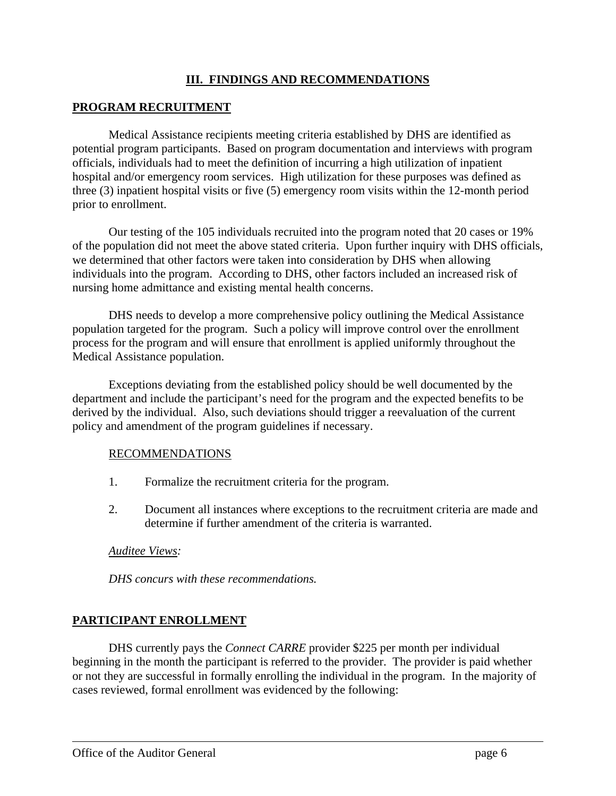#### **III. FINDINGS AND RECOMMENDATIONS**

#### **PROGRAM RECRUITMENT**

Medical Assistance recipients meeting criteria established by DHS are identified as potential program participants. Based on program documentation and interviews with program officials, individuals had to meet the definition of incurring a high utilization of inpatient hospital and/or emergency room services. High utilization for these purposes was defined as three (3) inpatient hospital visits or five (5) emergency room visits within the 12-month period prior to enrollment.

Our testing of the 105 individuals recruited into the program noted that 20 cases or 19% of the population did not meet the above stated criteria. Upon further inquiry with DHS officials, we determined that other factors were taken into consideration by DHS when allowing individuals into the program. According to DHS, other factors included an increased risk of nursing home admittance and existing mental health concerns.

DHS needs to develop a more comprehensive policy outlining the Medical Assistance population targeted for the program. Such a policy will improve control over the enrollment process for the program and will ensure that enrollment is applied uniformly throughout the Medical Assistance population.

Exceptions deviating from the established policy should be well documented by the department and include the participant's need for the program and the expected benefits to be derived by the individual. Also, such deviations should trigger a reevaluation of the current policy and amendment of the program guidelines if necessary.

#### RECOMMENDATIONS

- 1. Formalize the recruitment criteria for the program.
- 2. Document all instances where exceptions to the recruitment criteria are made and determine if further amendment of the criteria is warranted.

#### *Auditee Views:*

*DHS concurs with these recommendations.* 

## **PARTICIPANT ENROLLMENT**

DHS currently pays the *Connect CARRE* provider \$225 per month per individual beginning in the month the participant is referred to the provider. The provider is paid whether or not they are successful in formally enrolling the individual in the program. In the majority of cases reviewed, formal enrollment was evidenced by the following: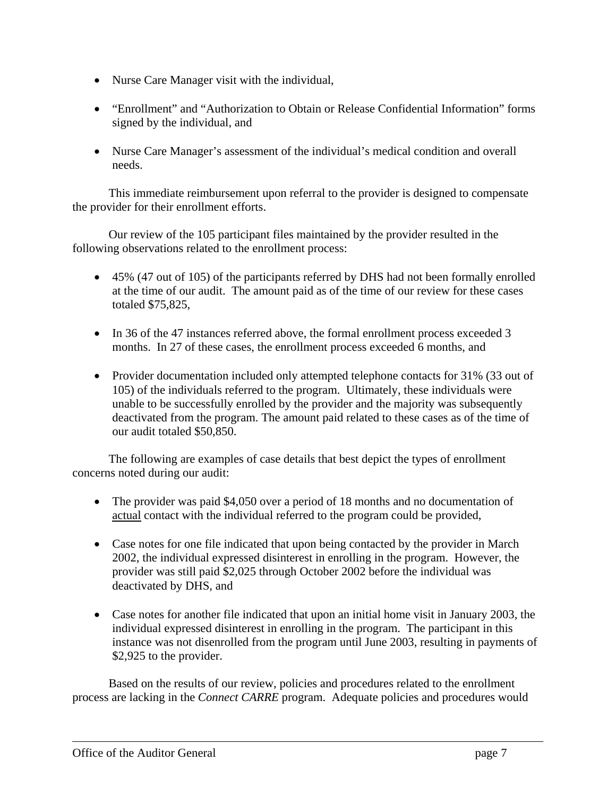- Nurse Care Manager visit with the individual,
- "Enrollment" and "Authorization to Obtain or Release Confidential Information" forms signed by the individual, and
- Nurse Care Manager's assessment of the individual's medical condition and overall needs.

This immediate reimbursement upon referral to the provider is designed to compensate the provider for their enrollment efforts.

Our review of the 105 participant files maintained by the provider resulted in the following observations related to the enrollment process:

- 45% (47 out of 105) of the participants referred by DHS had not been formally enrolled at the time of our audit. The amount paid as of the time of our review for these cases totaled \$75,825,
- In 36 of the 47 instances referred above, the formal enrollment process exceeded 3 months. In 27 of these cases, the enrollment process exceeded 6 months, and
- Provider documentation included only attempted telephone contacts for 31% (33 out of 105) of the individuals referred to the program. Ultimately, these individuals were unable to be successfully enrolled by the provider and the majority was subsequently deactivated from the program. The amount paid related to these cases as of the time of our audit totaled \$50,850.

The following are examples of case details that best depict the types of enrollment concerns noted during our audit:

- The provider was paid \$4,050 over a period of 18 months and no documentation of actual contact with the individual referred to the program could be provided,
- Case notes for one file indicated that upon being contacted by the provider in March 2002, the individual expressed disinterest in enrolling in the program. However, the provider was still paid \$2,025 through October 2002 before the individual was deactivated by DHS, and
- Case notes for another file indicated that upon an initial home visit in January 2003, the individual expressed disinterest in enrolling in the program. The participant in this instance was not disenrolled from the program until June 2003, resulting in payments of \$2,925 to the provider.

Based on the results of our review, policies and procedures related to the enrollment process are lacking in the *Connect CARRE* program. Adequate policies and procedures would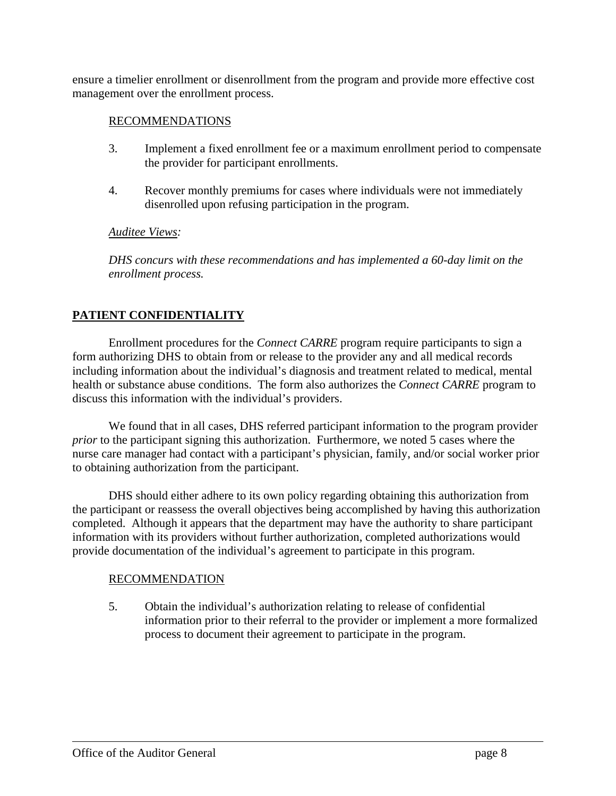ensure a timelier enrollment or disenrollment from the program and provide more effective cost management over the enrollment process.

#### RECOMMENDATIONS

- 3. Implement a fixed enrollment fee or a maximum enrollment period to compensate the provider for participant enrollments.
- 4. Recover monthly premiums for cases where individuals were not immediately disenrolled upon refusing participation in the program.

#### *Auditee Views:*

*DHS concurs with these recommendations and has implemented a 60-day limit on the enrollment process.* 

# **PATIENT CONFIDENTIALITY**

Enrollment procedures for the *Connect CARRE* program require participants to sign a form authorizing DHS to obtain from or release to the provider any and all medical records including information about the individual's diagnosis and treatment related to medical, mental health or substance abuse conditions. The form also authorizes the *Connect CARRE* program to discuss this information with the individual's providers.

We found that in all cases, DHS referred participant information to the program provider *prior* to the participant signing this authorization. Furthermore, we noted 5 cases where the nurse care manager had contact with a participant's physician, family, and/or social worker prior to obtaining authorization from the participant.

DHS should either adhere to its own policy regarding obtaining this authorization from the participant or reassess the overall objectives being accomplished by having this authorization completed. Although it appears that the department may have the authority to share participant information with its providers without further authorization, completed authorizations would provide documentation of the individual's agreement to participate in this program.

#### RECOMMENDATION

5. Obtain the individual's authorization relating to release of confidential information prior to their referral to the provider or implement a more formalized process to document their agreement to participate in the program.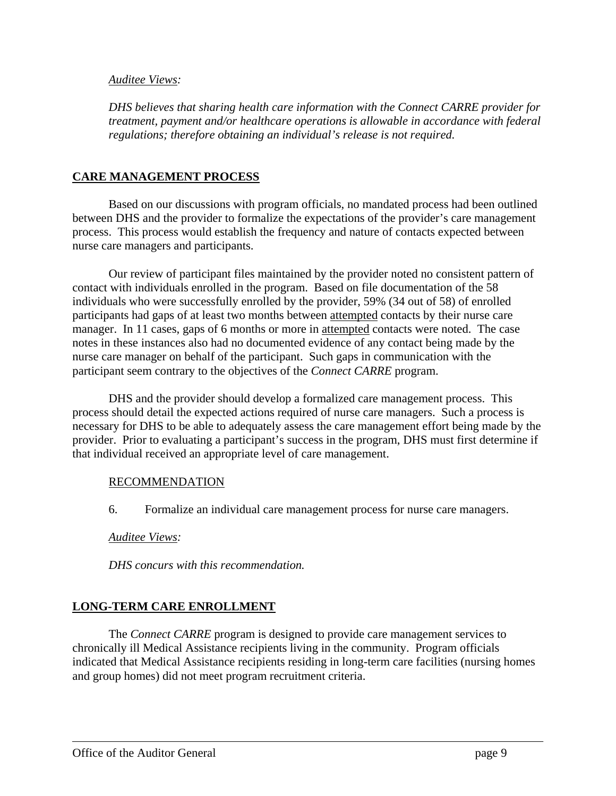#### *Auditee Views:*

*DHS believes that sharing health care information with the Connect CARRE provider for treatment, payment and/or healthcare operations is allowable in accordance with federal regulations; therefore obtaining an individual's release is not required.* 

#### **CARE MANAGEMENT PROCESS**

Based on our discussions with program officials, no mandated process had been outlined between DHS and the provider to formalize the expectations of the provider's care management process. This process would establish the frequency and nature of contacts expected between nurse care managers and participants.

Our review of participant files maintained by the provider noted no consistent pattern of contact with individuals enrolled in the program. Based on file documentation of the 58 individuals who were successfully enrolled by the provider, 59% (34 out of 58) of enrolled participants had gaps of at least two months between attempted contacts by their nurse care manager. In 11 cases, gaps of 6 months or more in attempted contacts were noted. The case notes in these instances also had no documented evidence of any contact being made by the nurse care manager on behalf of the participant. Such gaps in communication with the participant seem contrary to the objectives of the *Connect CARRE* program.

DHS and the provider should develop a formalized care management process. This process should detail the expected actions required of nurse care managers. Such a process is necessary for DHS to be able to adequately assess the care management effort being made by the provider. Prior to evaluating a participant's success in the program, DHS must first determine if that individual received an appropriate level of care management.

#### RECOMMENDATION

6. Formalize an individual care management process for nurse care managers.

#### *Auditee Views:*

*DHS concurs with this recommendation.* 

#### **LONG-TERM CARE ENROLLMENT**

 The *Connect CARRE* program is designed to provide care management services to chronically ill Medical Assistance recipients living in the community. Program officials indicated that Medical Assistance recipients residing in long-term care facilities (nursing homes and group homes) did not meet program recruitment criteria.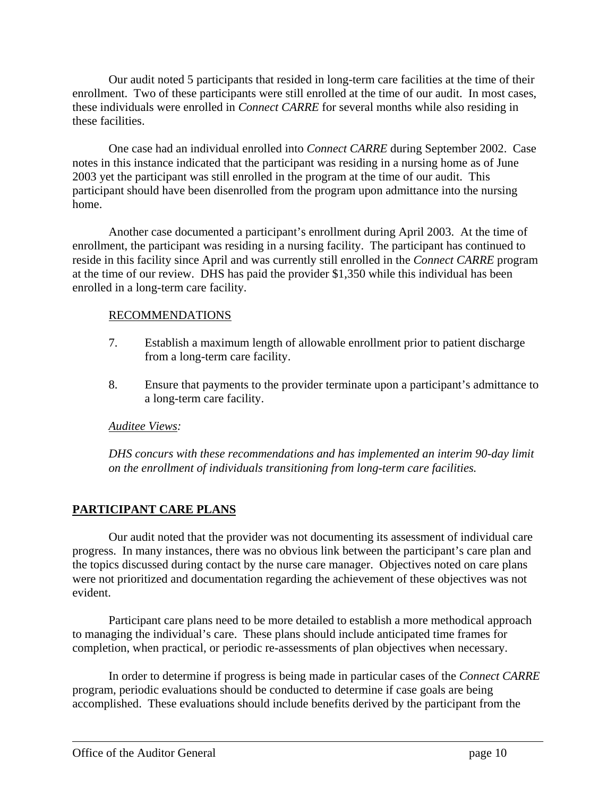Our audit noted 5 participants that resided in long-term care facilities at the time of their enrollment. Two of these participants were still enrolled at the time of our audit. In most cases, these individuals were enrolled in *Connect CARRE* for several months while also residing in these facilities.

One case had an individual enrolled into *Connect CARRE* during September 2002. Case notes in this instance indicated that the participant was residing in a nursing home as of June 2003 yet the participant was still enrolled in the program at the time of our audit. This participant should have been disenrolled from the program upon admittance into the nursing home.

Another case documented a participant's enrollment during April 2003. At the time of enrollment, the participant was residing in a nursing facility. The participant has continued to reside in this facility since April and was currently still enrolled in the *Connect CARRE* program at the time of our review. DHS has paid the provider \$1,350 while this individual has been enrolled in a long-term care facility.

#### RECOMMENDATIONS

- 7. Establish a maximum length of allowable enrollment prior to patient discharge from a long-term care facility.
- 8. Ensure that payments to the provider terminate upon a participant's admittance to a long-term care facility.

## *Auditee Views:*

*DHS concurs with these recommendations and has implemented an interim 90-day limit on the enrollment of individuals transitioning from long-term care facilities.* 

# **PARTICIPANT CARE PLANS**

Our audit noted that the provider was not documenting its assessment of individual care progress. In many instances, there was no obvious link between the participant's care plan and the topics discussed during contact by the nurse care manager. Objectives noted on care plans were not prioritized and documentation regarding the achievement of these objectives was not evident.

Participant care plans need to be more detailed to establish a more methodical approach to managing the individual's care. These plans should include anticipated time frames for completion, when practical, or periodic re-assessments of plan objectives when necessary.

In order to determine if progress is being made in particular cases of the *Connect CARRE* program, periodic evaluations should be conducted to determine if case goals are being accomplished. These evaluations should include benefits derived by the participant from the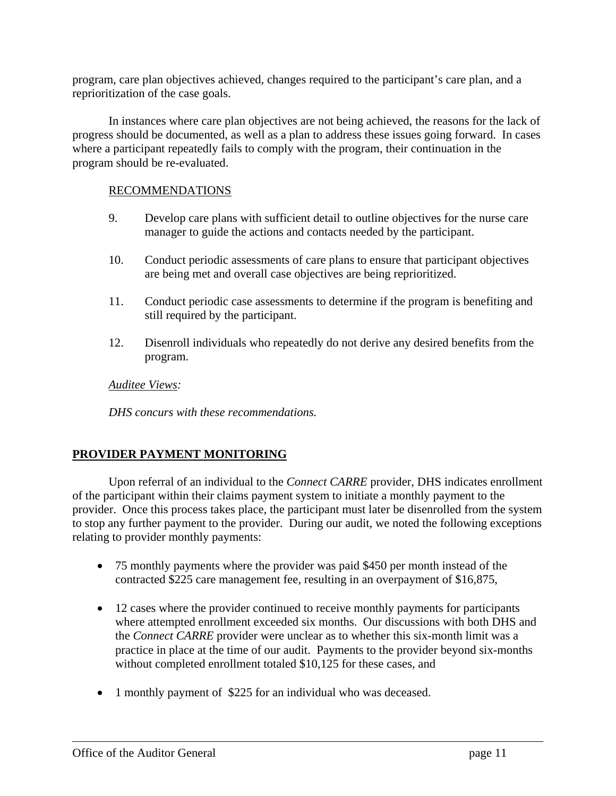program, care plan objectives achieved, changes required to the participant's care plan, and a reprioritization of the case goals.

In instances where care plan objectives are not being achieved, the reasons for the lack of progress should be documented, as well as a plan to address these issues going forward. In cases where a participant repeatedly fails to comply with the program, their continuation in the program should be re-evaluated.

#### RECOMMENDATIONS

- 9. Develop care plans with sufficient detail to outline objectives for the nurse care manager to guide the actions and contacts needed by the participant.
- 10. Conduct periodic assessments of care plans to ensure that participant objectives are being met and overall case objectives are being reprioritized.
- 11. Conduct periodic case assessments to determine if the program is benefiting and still required by the participant.
- 12. Disenroll individuals who repeatedly do not derive any desired benefits from the program.

#### *Auditee Views:*

*DHS concurs with these recommendations.* 

#### **PROVIDER PAYMENT MONITORING**

Upon referral of an individual to the *Connect CARRE* provider, DHS indicates enrollment of the participant within their claims payment system to initiate a monthly payment to the provider. Once this process takes place, the participant must later be disenrolled from the system to stop any further payment to the provider. During our audit, we noted the following exceptions relating to provider monthly payments:

- 75 monthly payments where the provider was paid \$450 per month instead of the contracted \$225 care management fee, resulting in an overpayment of \$16,875,
- 12 cases where the provider continued to receive monthly payments for participants where attempted enrollment exceeded six months. Our discussions with both DHS and the *Connect CARRE* provider were unclear as to whether this six-month limit was a practice in place at the time of our audit. Payments to the provider beyond six-months without completed enrollment totaled \$10,125 for these cases, and
- 1 monthly payment of \$225 for an individual who was deceased.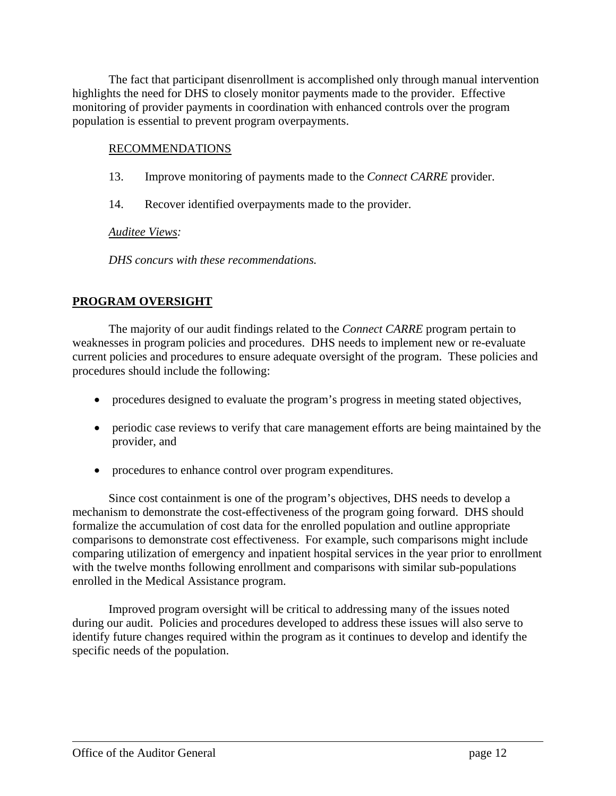The fact that participant disenrollment is accomplished only through manual intervention highlights the need for DHS to closely monitor payments made to the provider. Effective monitoring of provider payments in coordination with enhanced controls over the program population is essential to prevent program overpayments.

#### RECOMMENDATIONS

- 13. Improve monitoring of payments made to the *Connect CARRE* provider.
- 14. Recover identified overpayments made to the provider.

#### *Auditee Views:*

*DHS concurs with these recommendations.* 

#### **PROGRAM OVERSIGHT**

The majority of our audit findings related to the *Connect CARRE* program pertain to weaknesses in program policies and procedures. DHS needs to implement new or re-evaluate current policies and procedures to ensure adequate oversight of the program. These policies and procedures should include the following:

- procedures designed to evaluate the program's progress in meeting stated objectives,
- periodic case reviews to verify that care management efforts are being maintained by the provider, and
- procedures to enhance control over program expenditures.

Since cost containment is one of the program's objectives, DHS needs to develop a mechanism to demonstrate the cost-effectiveness of the program going forward. DHS should formalize the accumulation of cost data for the enrolled population and outline appropriate comparisons to demonstrate cost effectiveness. For example, such comparisons might include comparing utilization of emergency and inpatient hospital services in the year prior to enrollment with the twelve months following enrollment and comparisons with similar sub-populations enrolled in the Medical Assistance program.

Improved program oversight will be critical to addressing many of the issues noted during our audit. Policies and procedures developed to address these issues will also serve to identify future changes required within the program as it continues to develop and identify the specific needs of the population.